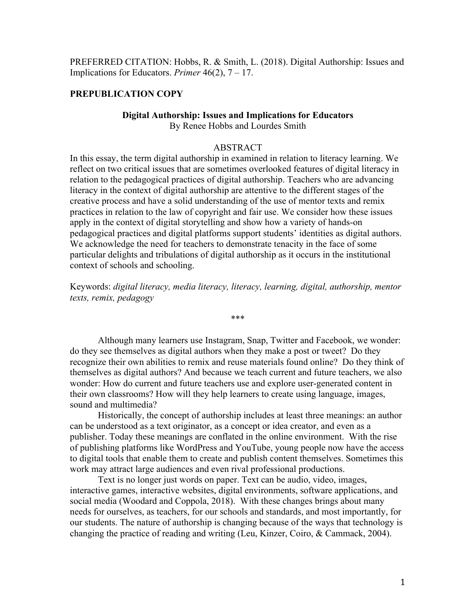PREFERRED CITATION: Hobbs, R. & Smith, L. (2018). Digital Authorship: Issues and Implications for Educators. *Primer* 46(2), 7 – 17.

# **PREPUBLICATION COPY**

# **Digital Authorship: Issues and Implications for Educators**

By Renee Hobbs and Lourdes Smith

## ABSTRACT

In this essay, the term digital authorship in examined in relation to literacy learning. We reflect on two critical issues that are sometimes overlooked features of digital literacy in relation to the pedagogical practices of digital authorship. Teachers who are advancing literacy in the context of digital authorship are attentive to the different stages of the creative process and have a solid understanding of the use of mentor texts and remix practices in relation to the law of copyright and fair use. We consider how these issues apply in the context of digital storytelling and show how a variety of hands-on pedagogical practices and digital platforms support students' identities as digital authors. We acknowledge the need for teachers to demonstrate tenacity in the face of some particular delights and tribulations of digital authorship as it occurs in the institutional context of schools and schooling.

Keywords: *digital literacy, media literacy, literacy, learning, digital, authorship, mentor texts, remix, pedagogy*

\*\*\*

Although many learners use Instagram, Snap, Twitter and Facebook, we wonder: do they see themselves as digital authors when they make a post or tweet? Do they recognize their own abilities to remix and reuse materials found online? Do they think of themselves as digital authors? And because we teach current and future teachers, we also wonder: How do current and future teachers use and explore user-generated content in their own classrooms? How will they help learners to create using language, images, sound and multimedia?

Historically, the concept of authorship includes at least three meanings: an author can be understood as a text originator, as a concept or idea creator, and even as a publisher. Today these meanings are conflated in the online environment. With the rise of publishing platforms like WordPress and YouTube, young people now have the access to digital tools that enable them to create and publish content themselves. Sometimes this work may attract large audiences and even rival professional productions.

Text is no longer just words on paper. Text can be audio, video, images, interactive games, interactive websites, digital environments, software applications, and social media (Woodard and Coppola, 2018). With these changes brings about many needs for ourselves, as teachers, for our schools and standards, and most importantly, for our students. The nature of authorship is changing because of the ways that technology is changing the practice of reading and writing (Leu, Kinzer, Coiro, & Cammack, 2004).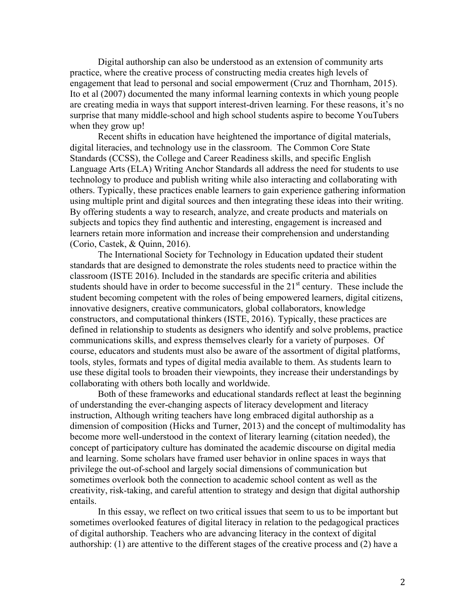Digital authorship can also be understood as an extension of community arts practice, where the creative process of constructing media creates high levels of engagement that lead to personal and social empowerment (Cruz and Thornham, 2015). Ito et al (2007) documented the many informal learning contexts in which young people are creating media in ways that support interest-driven learning. For these reasons, it's no surprise that many middle-school and high school students aspire to become YouTubers when they grow up!

Recent shifts in education have heightened the importance of digital materials, digital literacies, and technology use in the classroom. The Common Core State Standards (CCSS), the College and Career Readiness skills, and specific English Language Arts (ELA) Writing Anchor Standards all address the need for students to use technology to produce and publish writing while also interacting and collaborating with others. Typically, these practices enable learners to gain experience gathering information using multiple print and digital sources and then integrating these ideas into their writing. By offering students a way to research, analyze, and create products and materials on subjects and topics they find authentic and interesting, engagement is increased and learners retain more information and increase their comprehension and understanding (Corio, Castek, & Quinn, 2016).

The International Society for Technology in Education updated their student standards that are designed to demonstrate the roles students need to practice within the classroom (ISTE 2016). Included in the standards are specific criteria and abilities students should have in order to become successful in the 21<sup>st</sup> century. These include the student becoming competent with the roles of being empowered learners, digital citizens, innovative designers, creative communicators, global collaborators, knowledge constructors, and computational thinkers (ISTE, 2016). Typically, these practices are defined in relationship to students as designers who identify and solve problems, practice communications skills, and express themselves clearly for a variety of purposes. Of course, educators and students must also be aware of the assortment of digital platforms, tools, styles, formats and types of digital media available to them. As students learn to use these digital tools to broaden their viewpoints, they increase their understandings by collaborating with others both locally and worldwide.

Both of these frameworks and educational standards reflect at least the beginning of understanding the ever-changing aspects of literacy development and literacy instruction, Although writing teachers have long embraced digital authorship as a dimension of composition (Hicks and Turner, 2013) and the concept of multimodality has become more well-understood in the context of literary learning (citation needed), the concept of participatory culture has dominated the academic discourse on digital media and learning. Some scholars have framed user behavior in online spaces in ways that privilege the out-of-school and largely social dimensions of communication but sometimes overlook both the connection to academic school content as well as the creativity, risk-taking, and careful attention to strategy and design that digital authorship entails.

In this essay, we reflect on two critical issues that seem to us to be important but sometimes overlooked features of digital literacy in relation to the pedagogical practices of digital authorship. Teachers who are advancing literacy in the context of digital authorship: (1) are attentive to the different stages of the creative process and (2) have a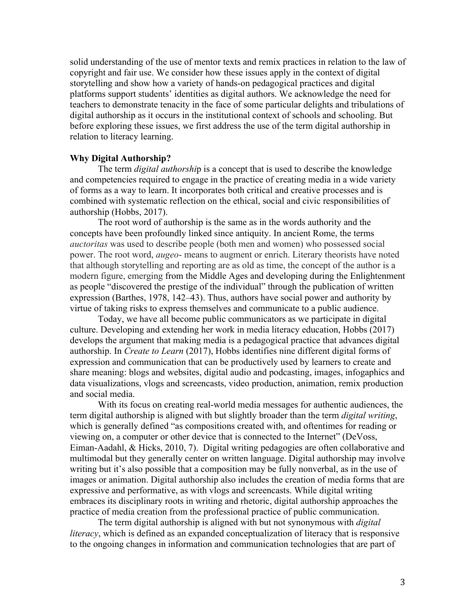solid understanding of the use of mentor texts and remix practices in relation to the law of copyright and fair use. We consider how these issues apply in the context of digital storytelling and show how a variety of hands-on pedagogical practices and digital platforms support students' identities as digital authors. We acknowledge the need for teachers to demonstrate tenacity in the face of some particular delights and tribulations of digital authorship as it occurs in the institutional context of schools and schooling. But before exploring these issues, we first address the use of the term digital authorship in relation to literacy learning.

#### **Why Digital Authorship?**

The term *digital authorshi*p is a concept that is used to describe the knowledge and competencies required to engage in the practice of creating media in a wide variety of forms as a way to learn. It incorporates both critical and creative processes and is combined with systematic reflection on the ethical, social and civic responsibilities of authorship (Hobbs, 2017).

The root word of authorship is the same as in the words authority and the concepts have been profoundly linked since antiquity. In ancient Rome, the terms *auctoritas* was used to describe people (both men and women) who possessed social power. The root word, *augeo*- means to augment or enrich. Literary theorists have noted that although storytelling and reporting are as old as time, the concept of the author is a modern figure, emerging from the Middle Ages and developing during the Enlightenment as people "discovered the prestige of the individual" through the publication of written expression (Barthes, 1978, 142–43). Thus, authors have social power and authority by virtue of taking risks to express themselves and communicate to a public audience.

Today, we have all become public communicators as we participate in digital culture. Developing and extending her work in media literacy education, Hobbs (2017) develops the argument that making media is a pedagogical practice that advances digital authorship. In *Create to Learn* (2017), Hobbs identifies nine different digital forms of expression and communication that can be productively used by learners to create and share meaning: blogs and websites, digital audio and podcasting, images, infogaphics and data visualizations, vlogs and screencasts, video production, animation, remix production and social media.

With its focus on creating real-world media messages for authentic audiences, the term digital authorship is aligned with but slightly broader than the term *digital writing*, which is generally defined "as compositions created with, and oftentimes for reading or viewing on, a computer or other device that is connected to the Internet" (DeVoss, Eiman-Aadahl, & Hicks, 2010, 7). Digital writing pedagogies are often collaborative and multimodal but they generally center on written language. Digital authorship may involve writing but it's also possible that a composition may be fully nonverbal, as in the use of images or animation. Digital authorship also includes the creation of media forms that are expressive and performative, as with vlogs and screencasts. While digital writing embraces its disciplinary roots in writing and rhetoric, digital authorship approaches the practice of media creation from the professional practice of public communication.

The term digital authorship is aligned with but not synonymous with *digital literacy*, which is defined as an expanded conceptualization of literacy that is responsive to the ongoing changes in information and communication technologies that are part of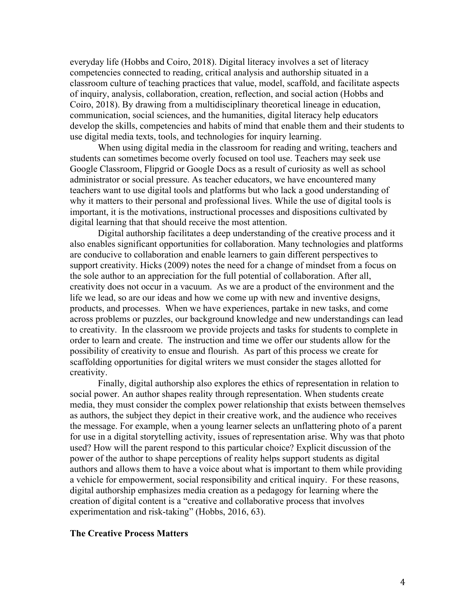everyday life (Hobbs and Coiro, 2018). Digital literacy involves a set of literacy competencies connected to reading, critical analysis and authorship situated in a classroom culture of teaching practices that value, model, scaffold, and facilitate aspects of inquiry, analysis, collaboration, creation, reflection, and social action (Hobbs and Coiro, 2018). By drawing from a multidisciplinary theoretical lineage in education, communication, social sciences, and the humanities, digital literacy help educators develop the skills, competencies and habits of mind that enable them and their students to use digital media texts, tools, and technologies for inquiry learning.

When using digital media in the classroom for reading and writing, teachers and students can sometimes become overly focused on tool use. Teachers may seek use Google Classroom, Flipgrid or Google Docs as a result of curiosity as well as school administrator or social pressure. As teacher educators, we have encountered many teachers want to use digital tools and platforms but who lack a good understanding of why it matters to their personal and professional lives. While the use of digital tools is important, it is the motivations, instructional processes and dispositions cultivated by digital learning that that should receive the most attention.

Digital authorship facilitates a deep understanding of the creative process and it also enables significant opportunities for collaboration. Many technologies and platforms are conducive to collaboration and enable learners to gain different perspectives to support creativity. Hicks (2009) notes the need for a change of mindset from a focus on the sole author to an appreciation for the full potential of collaboration. After all, creativity does not occur in a vacuum. As we are a product of the environment and the life we lead, so are our ideas and how we come up with new and inventive designs, products, and processes. When we have experiences, partake in new tasks, and come across problems or puzzles, our background knowledge and new understandings can lead to creativity. In the classroom we provide projects and tasks for students to complete in order to learn and create. The instruction and time we offer our students allow for the possibility of creativity to ensue and flourish. As part of this process we create for scaffolding opportunities for digital writers we must consider the stages allotted for creativity.

Finally, digital authorship also explores the ethics of representation in relation to social power. An author shapes reality through representation. When students create media, they must consider the complex power relationship that exists between themselves as authors, the subject they depict in their creative work, and the audience who receives the message. For example, when a young learner selects an unflattering photo of a parent for use in a digital storytelling activity, issues of representation arise. Why was that photo used? How will the parent respond to this particular choice? Explicit discussion of the power of the author to shape perceptions of reality helps support students as digital authors and allows them to have a voice about what is important to them while providing a vehicle for empowerment, social responsibility and critical inquiry. For these reasons, digital authorship emphasizes media creation as a pedagogy for learning where the creation of digital content is a "creative and collaborative process that involves experimentation and risk-taking" (Hobbs, 2016, 63).

## **The Creative Process Matters**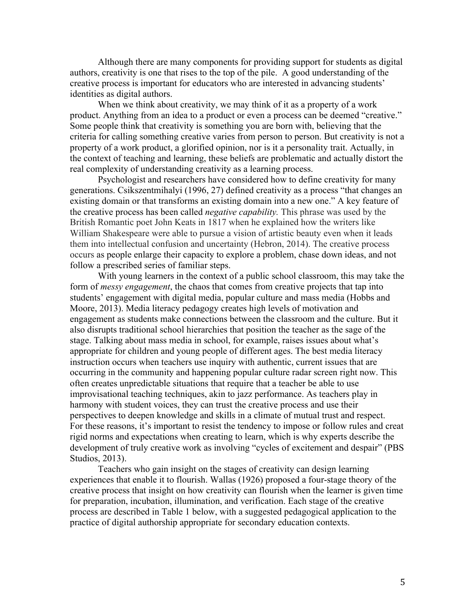Although there are many components for providing support for students as digital authors, creativity is one that rises to the top of the pile. A good understanding of the creative process is important for educators who are interested in advancing students' identities as digital authors.

When we think about creativity, we may think of it as a property of a work product. Anything from an idea to a product or even a process can be deemed "creative." Some people think that creativity is something you are born with, believing that the criteria for calling something creative varies from person to person. But creativity is not a property of a work product, a glorified opinion, nor is it a personality trait. Actually, in the context of teaching and learning, these beliefs are problematic and actually distort the real complexity of understanding creativity as a learning process.

Psychologist and researchers have considered how to define creativity for many generations. Csikszentmihalyi (1996, 27) defined creativity as a process "that changes an existing domain or that transforms an existing domain into a new one." A key feature of the creative process has been called *negative capability.* This phrase was used by the British Romantic poet John Keats in 1817 when he explained how the writers like William Shakespeare were able to pursue a vision of artistic beauty even when it leads them into intellectual confusion and uncertainty (Hebron, 2014). The creative process occurs as people enlarge their capacity to explore a problem, chase down ideas, and not follow a prescribed series of familiar steps.

With young learners in the context of a public school classroom, this may take the form of *messy engagement*, the chaos that comes from creative projects that tap into students' engagement with digital media, popular culture and mass media (Hobbs and Moore, 2013). Media literacy pedagogy creates high levels of motivation and engagement as students make connections between the classroom and the culture. But it also disrupts traditional school hierarchies that position the teacher as the sage of the stage. Talking about mass media in school, for example, raises issues about what's appropriate for children and young people of different ages. The best media literacy instruction occurs when teachers use inquiry with authentic, current issues that are occurring in the community and happening popular culture radar screen right now. This often creates unpredictable situations that require that a teacher be able to use improvisational teaching techniques, akin to jazz performance. As teachers play in harmony with student voices, they can trust the creative process and use their perspectives to deepen knowledge and skills in a climate of mutual trust and respect. For these reasons, it's important to resist the tendency to impose or follow rules and creat rigid norms and expectations when creating to learn, which is why experts describe the development of truly creative work as involving "cycles of excitement and despair" (PBS Studios, 2013).

Teachers who gain insight on the stages of creativity can design learning experiences that enable it to flourish. Wallas (1926) proposed a four-stage theory of the creative process that insight on how creativity can flourish when the learner is given time for preparation, incubation, illumination, and verification. Each stage of the creative process are described in Table 1 below, with a suggested pedagogical application to the practice of digital authorship appropriate for secondary education contexts.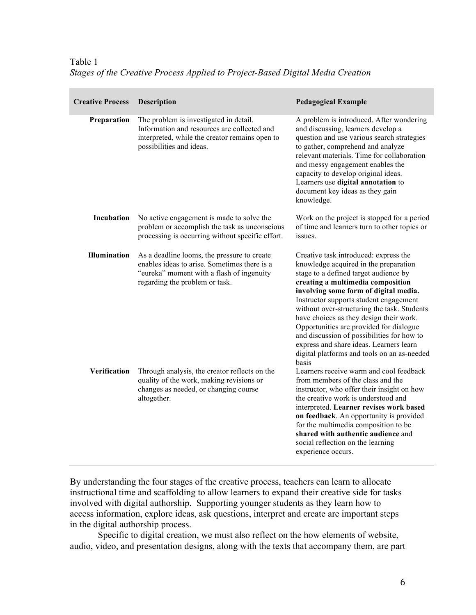Table 1 *Stages of the Creative Process Applied to Project-Based Digital Media Creation*

| <b>Creative Process</b> | <b>Description</b>                                                                                                                                                         | <b>Pedagogical Example</b>                                                                                                                                                                                                                                                                                                                                                                                                                                                                                                            |
|-------------------------|----------------------------------------------------------------------------------------------------------------------------------------------------------------------------|---------------------------------------------------------------------------------------------------------------------------------------------------------------------------------------------------------------------------------------------------------------------------------------------------------------------------------------------------------------------------------------------------------------------------------------------------------------------------------------------------------------------------------------|
| Preparation             | The problem is investigated in detail.<br>Information and resources are collected and<br>interpreted, while the creator remains open to<br>possibilities and ideas.        | A problem is introduced. After wondering<br>and discussing, learners develop a<br>question and use various search strategies<br>to gather, comprehend and analyze<br>relevant materials. Time for collaboration<br>and messy engagement enables the<br>capacity to develop original ideas.<br>Learners use digital annotation to<br>document key ideas as they gain<br>knowledge.                                                                                                                                                     |
| Incubation              | No active engagement is made to solve the<br>problem or accomplish the task as unconscious<br>processing is occurring without specific effort.                             | Work on the project is stopped for a period<br>of time and learners turn to other topics or<br>issues.                                                                                                                                                                                                                                                                                                                                                                                                                                |
| <b>Illumination</b>     | As a deadline looms, the pressure to create<br>enables ideas to arise. Sometimes there is a<br>"eureka" moment with a flash of ingenuity<br>regarding the problem or task. | Creative task introduced: express the<br>knowledge acquired in the preparation<br>stage to a defined target audience by<br>creating a multimedia composition<br>involving some form of digital media.<br>Instructor supports student engagement<br>without over-structuring the task. Students<br>have choices as they design their work.<br>Opportunities are provided for dialogue<br>and discussion of possibilities for how to<br>express and share ideas. Learners learn<br>digital platforms and tools on an as-needed<br>basis |
| Verification            | Through analysis, the creator reflects on the<br>quality of the work, making revisions or<br>changes as needed, or changing course<br>altogether.                          | Learners receive warm and cool feedback<br>from members of the class and the<br>instructor, who offer their insight on how<br>the creative work is understood and<br>interpreted. Learner revises work based<br>on feedback. An opportunity is provided<br>for the multimedia composition to be<br>shared with authentic audience and<br>social reflection on the learning<br>experience occurs.                                                                                                                                      |

By understanding the four stages of the creative process, teachers can learn to allocate instructional time and scaffolding to allow learners to expand their creative side for tasks involved with digital authorship. Supporting younger students as they learn how to access information, explore ideas, ask questions, interpret and create are important steps in the digital authorship process.

Specific to digital creation, we must also reflect on the how elements of website, audio, video, and presentation designs, along with the texts that accompany them, are part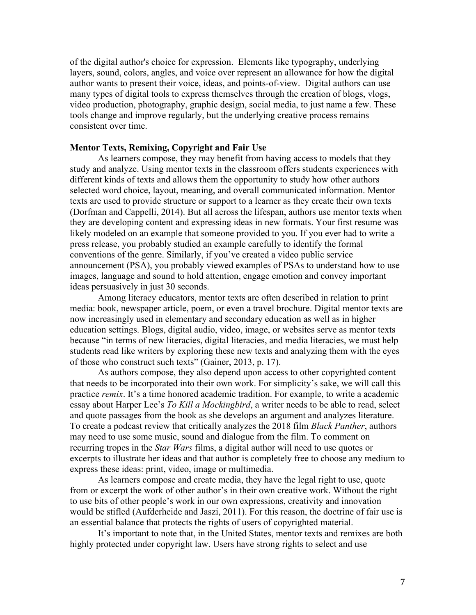of the digital author's choice for expression. Elements like typography, underlying layers, sound, colors, angles, and voice over represent an allowance for how the digital author wants to present their voice, ideas, and points-of-view. Digital authors can use many types of digital tools to express themselves through the creation of blogs, vlogs, video production, photography, graphic design, social media, to just name a few. These tools change and improve regularly, but the underlying creative process remains consistent over time.

### **Mentor Texts, Remixing, Copyright and Fair Use**

As learners compose, they may benefit from having access to models that they study and analyze. Using mentor texts in the classroom offers students experiences with different kinds of texts and allows them the opportunity to study how other authors selected word choice, layout, meaning, and overall communicated information. Mentor texts are used to provide structure or support to a learner as they create their own texts (Dorfman and Cappelli, 2014). But all across the lifespan, authors use mentor texts when they are developing content and expressing ideas in new formats. Your first resume was likely modeled on an example that someone provided to you. If you ever had to write a press release, you probably studied an example carefully to identify the formal conventions of the genre. Similarly, if you've created a video public service announcement (PSA), you probably viewed examples of PSAs to understand how to use images, language and sound to hold attention, engage emotion and convey important ideas persuasively in just 30 seconds.

Among literacy educators, mentor texts are often described in relation to print media: book, newspaper article, poem, or even a travel brochure. Digital mentor texts are now increasingly used in elementary and secondary education as well as in higher education settings. Blogs, digital audio, video, image, or websites serve as mentor texts because "in terms of new literacies, digital literacies, and media literacies, we must help students read like writers by exploring these new texts and analyzing them with the eyes of those who construct such texts" (Gainer, 2013, p. 17).

As authors compose, they also depend upon access to other copyrighted content that needs to be incorporated into their own work. For simplicity's sake, we will call this practice *remix*. It's a time honored academic tradition. For example, to write a academic essay about Harper Lee's *To Kill a Mockingbird*, a writer needs to be able to read, select and quote passages from the book as she develops an argument and analyzes literature. To create a podcast review that critically analyzes the 2018 film *Black Panther*, authors may need to use some music, sound and dialogue from the film. To comment on recurring tropes in the *Star Wars* films, a digital author will need to use quotes or excerpts to illustrate her ideas and that author is completely free to choose any medium to express these ideas: print, video, image or multimedia.

As learners compose and create media, they have the legal right to use, quote from or excerpt the work of other author's in their own creative work. Without the right to use bits of other people's work in our own expressions, creativity and innovation would be stifled (Aufderheide and Jaszi, 2011). For this reason, the doctrine of fair use is an essential balance that protects the rights of users of copyrighted material.

It's important to note that, in the United States, mentor texts and remixes are both highly protected under copyright law. Users have strong rights to select and use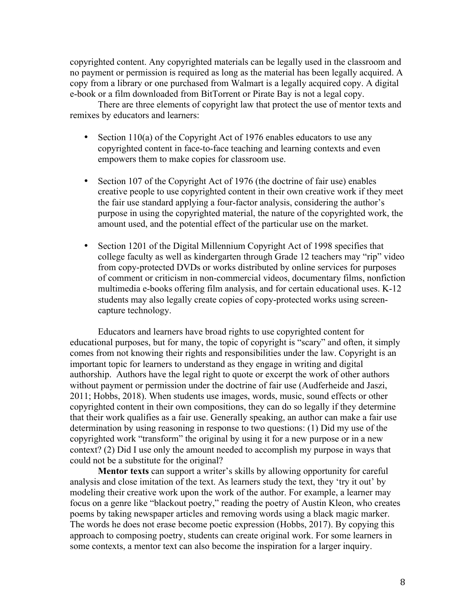copyrighted content. Any copyrighted materials can be legally used in the classroom and no payment or permission is required as long as the material has been legally acquired. A copy from a library or one purchased from Walmart is a legally acquired copy. A digital e-book or a film downloaded from BitTorrent or Pirate Bay is not a legal copy.

There are three elements of copyright law that protect the use of mentor texts and remixes by educators and learners:

- Section 110(a) of the Copyright Act of 1976 enables educators to use any copyrighted content in face-to-face teaching and learning contexts and even empowers them to make copies for classroom use.
- Section 107 of the Copyright Act of 1976 (the doctrine of fair use) enables creative people to use copyrighted content in their own creative work if they meet the fair use standard applying a four-factor analysis, considering the author's purpose in using the copyrighted material, the nature of the copyrighted work, the amount used, and the potential effect of the particular use on the market.
- Section 1201 of the Digital Millennium Copyright Act of 1998 specifies that college faculty as well as kindergarten through Grade 12 teachers may "rip" video from copy-protected DVDs or works distributed by online services for purposes of comment or criticism in non-commercial videos, documentary films, nonfiction multimedia e-books offering film analysis, and for certain educational uses. K-12 students may also legally create copies of copy-protected works using screencapture technology.

Educators and learners have broad rights to use copyrighted content for educational purposes, but for many, the topic of copyright is "scary" and often, it simply comes from not knowing their rights and responsibilities under the law. Copyright is an important topic for learners to understand as they engage in writing and digital authorship. Authors have the legal right to quote or excerpt the work of other authors without payment or permission under the doctrine of fair use (Audferheide and Jaszi, 2011; Hobbs, 2018). When students use images, words, music, sound effects or other copyrighted content in their own compositions, they can do so legally if they determine that their work qualifies as a fair use. Generally speaking, an author can make a fair use determination by using reasoning in response to two questions: (1) Did my use of the copyrighted work "transform" the original by using it for a new purpose or in a new context? (2) Did I use only the amount needed to accomplish my purpose in ways that could not be a substitute for the original?

**Mentor texts** can support a writer's skills by allowing opportunity for careful analysis and close imitation of the text. As learners study the text, they 'try it out' by modeling their creative work upon the work of the author. For example, a learner may focus on a genre like "blackout poetry," reading the poetry of Austin Kleon, who creates poems by taking newspaper articles and removing words using a black magic marker. The words he does not erase become poetic expression (Hobbs, 2017). By copying this approach to composing poetry, students can create original work. For some learners in some contexts, a mentor text can also become the inspiration for a larger inquiry.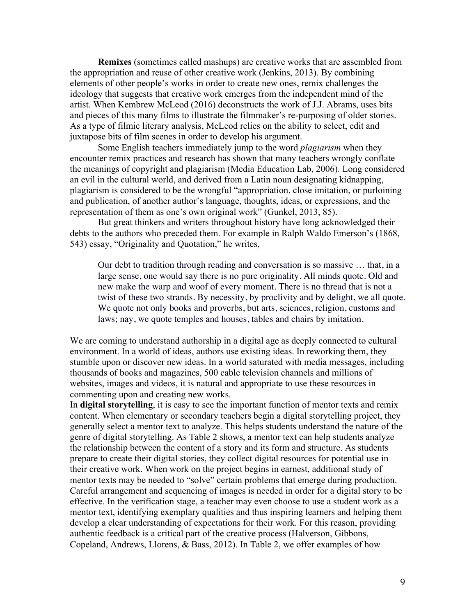**Remixes** (sometimes called mashups) are creative works that are assembled from the appropriation and reuse of other creative work (Jenkins, 2013). By combining elements of other people's works in order to create new ones, remix challenges the ideology that suggests that creative work emerges from the independent mind of the artist. When Kembrew McLeod (2016) deconstructs the work of J.J. Abrams, uses bits and pieces of this many films to illustrate the filmmaker's re-purposing of older stories. As a type of filmic literary analysis, McLeod relies on the ability to select, edit and juxtapose bits of film scenes in order to develop his argument.

Some English teachers immediately jump to the word *plagiarism* when they encounter remix practices and research has shown that many teachers wrongly conflate the meanings of copyright and plagiarism (Media Education Lab, 2006). Long considered an evil in the cultural world, and derived from a Latin noun designating kidnapping, plagiarism is considered to be the wrongful "appropriation, close imitation, or purloining and publication, of another author's language, thoughts, ideas, or expressions, and the representation of them as one's own original work" (Gunkel, 2013, 85).

But great thinkers and writers throughout history have long acknowledged their debts to the authors who preceded them. For example in Ralph Waldo Emerson's (1868, 543) essay, "Originality and Quotation," he writes,

Our debt to tradition through reading and conversation is so massive … that, in a large sense, one would say there is no pure originality. All minds quote. Old and new make the warp and woof of every moment. There is no thread that is not a twist of these two strands. By necessity, by proclivity and by delight, we all quote. We quote not only books and proverbs, but arts, sciences, religion, customs and laws; nay, we quote temples and houses, tables and chairs by imitation.

We are coming to understand authorship in a digital age as deeply connected to cultural environment. In a world of ideas, authors use existing ideas. In reworking them, they stumble upon or discover new ideas. In a world saturated with media messages, including thousands of books and magazines, 500 cable television channels and millions of websites, images and videos, it is natural and appropriate to use these resources in commenting upon and creating new works.

In **digital storytelling**, it is easy to see the important function of mentor texts and remix content. When elementary or secondary teachers begin a digital storytelling project, they generally select a mentor text to analyze. This helps students understand the nature of the genre of digital storytelling. As Table 2 shows, a mentor text can help students analyze the relationship between the content of a story and its form and structure. As students prepare to create their digital stories, they collect digital resources for potential use in their creative work. When work on the project begins in earnest, additional study of mentor texts may be needed to "solve" certain problems that emerge during production. Careful arrangement and sequencing of images is needed in order for a digital story to be effective. In the verification stage, a teacher may even choose to use a student work as a mentor text, identifying exemplary qualities and thus inspiring learners and helping them develop a clear understanding of expectations for their work. For this reason, providing authentic feedback is a critical part of the creative process (Halverson, Gibbons, Copeland, Andrews, Llorens, & Bass, 2012). In Table 2, we offer examples of how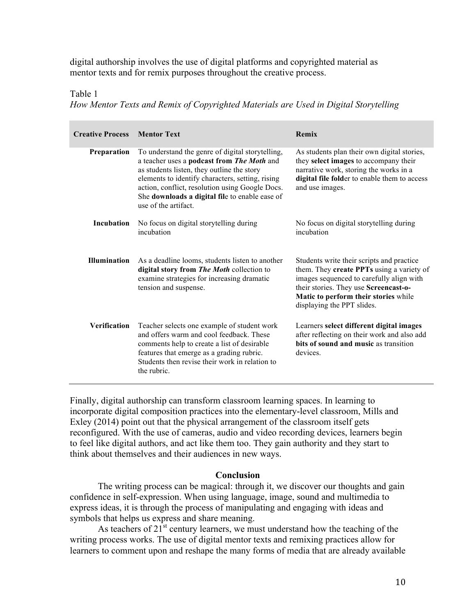digital authorship involves the use of digital platforms and copyrighted material as mentor texts and for remix purposes throughout the creative process.

Table 1

*How Mentor Texts and Remix of Copyrighted Materials are Used in Digital Storytelling*

| <b>Creative Process</b> | <b>Mentor Text</b>                                                                                                                                                                                                                                                                                                            | Remix                                                                                                                                                                                                                                             |
|-------------------------|-------------------------------------------------------------------------------------------------------------------------------------------------------------------------------------------------------------------------------------------------------------------------------------------------------------------------------|---------------------------------------------------------------------------------------------------------------------------------------------------------------------------------------------------------------------------------------------------|
| Preparation             | To understand the genre of digital storytelling,<br>a teacher uses a podcast from The Moth and<br>as students listen, they outline the story<br>elements to identify characters, setting, rising<br>action, conflict, resolution using Google Docs.<br>She downloads a digital file to enable ease of<br>use of the artifact. | As students plan their own digital stories,<br>they select images to accompany their<br>narrative work, storing the works in a<br>digital file folder to enable them to access<br>and use images.                                                 |
| Incubation              | No focus on digital storytelling during<br>incubation                                                                                                                                                                                                                                                                         | No focus on digital storytelling during<br>incubation                                                                                                                                                                                             |
| <b>Illumination</b>     | As a deadline looms, students listen to another<br>digital story from The Moth collection to<br>examine strategies for increasing dramatic<br>tension and suspense.                                                                                                                                                           | Students write their scripts and practice<br>them. They create PPTs using a variety of<br>images sequenced to carefully align with<br>their stories. They use Screencast-o-<br>Matic to perform their stories while<br>displaying the PPT slides. |
| <b>Verification</b>     | Teacher selects one example of student work<br>and offers warm and cool feedback. These<br>comments help to create a list of desirable<br>features that emerge as a grading rubric.<br>Students then revise their work in relation to<br>the rubric.                                                                          | Learners select different digital images<br>after reflecting on their work and also add<br>bits of sound and music as transition<br>devices.                                                                                                      |

Finally, digital authorship can transform classroom learning spaces. In learning to incorporate digital composition practices into the elementary-level classroom, Mills and Exley (2014) point out that the physical arrangement of the classroom itself gets reconfigured. With the use of cameras, audio and video recording devices, learners begin to feel like digital authors, and act like them too. They gain authority and they start to think about themselves and their audiences in new ways.

### **Conclusion**

The writing process can be magical: through it, we discover our thoughts and gain confidence in self-expression. When using language, image, sound and multimedia to express ideas, it is through the process of manipulating and engaging with ideas and symbols that helps us express and share meaning.

As teachers of  $21<sup>st</sup>$  century learners, we must understand how the teaching of the writing process works. The use of digital mentor texts and remixing practices allow for learners to comment upon and reshape the many forms of media that are already available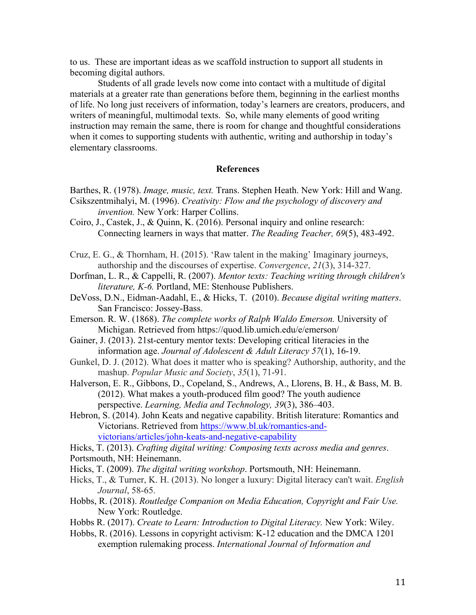to us. These are important ideas as we scaffold instruction to support all students in becoming digital authors.

Students of all grade levels now come into contact with a multitude of digital materials at a greater rate than generations before them, beginning in the earliest months of life. No long just receivers of information, today's learners are creators, producers, and writers of meaningful, multimodal texts. So, while many elements of good writing instruction may remain the same, there is room for change and thoughtful considerations when it comes to supporting students with authentic, writing and authorship in today's elementary classrooms.

#### **References**

- Barthes, R. (1978). *Image, music, text.* Trans. Stephen Heath. New York: Hill and Wang. Csikszentmihalyi, M. (1996). *Creativity: Flow and the psychology of discovery and invention.* New York: Harper Collins.
- Coiro, J., Castek, J., & Quinn, K. (2016). Personal inquiry and online research: Connecting learners in ways that matter. *The Reading Teacher, 69*(5), 483-492.
- Cruz, E. G., & Thornham, H. (2015). 'Raw talent in the making' Imaginary journeys, authorship and the discourses of expertise. *Convergence*, *21*(3), 314-327.
- Dorfman, L. R., & Cappelli, R. (2007). *Mentor texts: Teaching writing through children's literature, K-6.* Portland, ME: Stenhouse Publishers.
- DeVoss, D.N., Eidman-Aadahl, E., & Hicks, T. (2010). *Because digital writing matters*. San Francisco: Jossey-Bass.
- Emerson. R. W. (1868). *The complete works of Ralph Waldo Emerson.* University of Michigan. Retrieved from https://quod.lib.umich.edu/e/emerson/
- Gainer, J. (2013). 21st-century mentor texts: Developing critical literacies in the information age. *Journal of Adolescent & Adult Literacy 57*(1), 16-19.
- Gunkel, D. J. (2012). What does it matter who is speaking? Authorship, authority, and the mashup. *Popular Music and Society*, *35*(1), 71-91.
- Halverson, E. R., Gibbons, D., Copeland, S., Andrews, A., Llorens, B. H., & Bass, M. B. (2012). What makes a youth-produced film good? The youth audience perspective. *Learning, Media and Technology, 39*(3), 386–403.
- Hebron, S. (2014). John Keats and negative capability. British literature: Romantics and Victorians. Retrieved from https://www.bl.uk/romantics-andvictorians/articles/john-keats-and-negative-capability

Hicks, T. (2013). *Crafting digital writing: Composing texts across media and genres*.

- Portsmouth, NH: Heinemann.
- Hicks, T. (2009). *The digital writing workshop*. Portsmouth, NH: Heinemann.
- Hicks, T., & Turner, K. H. (2013). No longer a luxury: Digital literacy can't wait. *English Journal*, 58-65.
- Hobbs, R. (2018). *Routledge Companion on Media Education, Copyright and Fair Use.* New York: Routledge.
- Hobbs R. (2017). *Create to Learn: Introduction to Digital Literacy.* New York: Wiley.
- Hobbs, R. (2016). Lessons in copyright activism: K-12 education and the DMCA 1201 exemption rulemaking process. *International Journal of Information and*